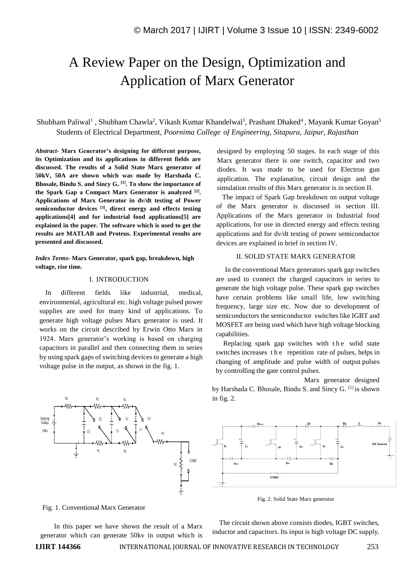# A Review Paper on the Design, Optimization and Application of Marx Generator

Shubham Paliwal<sup>1</sup>, Shubham Chawla<sup>2</sup>, Vikash Kumar Khandelwal<sup>3</sup>, Prashant Dhaked<sup>4</sup>, Mayank Kumar Goyan<sup>5</sup> Students of Electrical Department, *Poornima College of Engineering, Sitapura, Jaipur, Rajasthan*

*Abstract-* **Marx Generator's designing for different purpose, its Optimization and its applications in different fields are discussed. The results of a Solid State Marx generator of 50kV, 50A are shown which was made by Harshada C. Bhosale, Bindu S. and Sincy G. [1]. To show the importance of the Spark Gap a Compact Marx Generator is analyzed [2] . Applications of Marx Generator in dv/dt testing of Power semiconductor devices [3], direct energy and effects testing applications[4] and for industrial food applications[5] are explained in the paper. The software which is used to get the results are MATLAB and Proteus. Experimental results are presented and discussed.**

*Index Terms-* **Marx Generator, spark gap, breakdown, high voltage, rise time.** 

# I. INTRODUCTION

In different fields like industrial, medical, environmental, agricultural etc. high voltage pulsed power supplies are used for many kind of applications. To generate high voltage pulses Marx generator is used. It works on the circuit described by Erwin Otto Marx in 1924. Marx generator's working is based on charging capacitors in parallel and then connecting them in series by using spark gaps of switching devices to generate a high voltage pulse in the output, as shown in the fig. 1.

designed by employing 50 stages. In each stage of this Marx generator there is one switch, capacitor and two diodes. It was made to be used for Electron gun application. The explanation, circuit design and the simulation results of this Marx generator is in section II.

The impact of Spark Gap breakdown on output voltage of the Marx generator is discussed in section III. Applications of the Marx generator in Industrial food applications, for use in directed energy and effects testing applications and for dv/dt testing of power semiconductor devices are explained in brief in section IV.

# II. SOLID STATE MARX GENERATOR

In the conventional Marx generators spark gap switches are used to connect the charged capacitors in series to generate the high voltage pulse. These spark gap switches have certain problems like small life, low switching frequency, large size etc. Now due to development of semiconductors the semiconductor switches like IGBT and MOSFET are being used which have high voltage blocking capabilities.

Replacing spark gap switches with the solid state switches increases t h e repetition rate of pulses, helps in changing of amplitude and pulse width of output pulses by controlling the gate control pulses.

 Marx generator designed by Harshada C. Bhosale, Bindu S. and Sincy G. [1] is shown in fig. 2.



Fig. 2. Solid State Marx generator



 In this paper we have shown the result of a Marx generator which can generate 50kv in output which is

 The circuit shown above consists diodes, IGBT switches, inductor and capacitors. Its input is high voltage DC supply.

Charging<br>Voltage  $($ Vdc $)$ 

**IJIRT 144366** INTERNATIONAL JOURNAL OF INNOVATIVE RESEARCH IN TECHNOLOGY 253

LOAD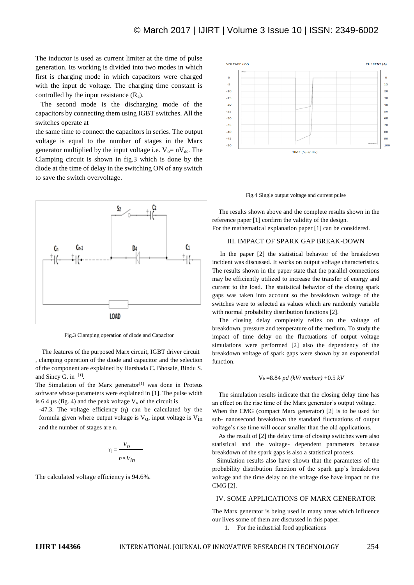The inductor is used as current limiter at the time of pulse generation. Its working is divided into two modes in which first is charging mode in which capacitors were charged with the input dc voltage. The charging time constant is controlled by the input resistance  $(R_c)$ .

 The second mode is the discharging mode of the capacitors by connecting them using IGBT switches. All the switches operate at

the same time to connect the capacitors in series. The output voltage is equal to the number of stages in the Marx generator multiplied by the input voltage i.e.  $V_0 = nV_{dc}$ . The Clamping circuit is shown in fig.3 which is done by the diode at the time of delay in the switching ON of any switch to save the switch overvoltage.



Fig.3 Clamping operation of diode and Capacitor

 The features of the purposed Marx circuit, IGBT driver circuit , clamping operation of the diode and capacitor and the selection of the component are explained by Harshada C. Bhosale, Bindu S. and Sincy G. in  $[1]$ .

The Simulation of the Marx generator<sup>[1]</sup> was done in Proteus software whose parameters were explained in [1]. The pulse width is 6.4  $\mu$ s (fig. 4) and the peak voltage  $V_0$  of the circuit is

-47.3. The voltage efficiency (η) can be calculated by the formula given where output voltage is  $V_0$ , input voltage is  $V_{in}$ and the number of stages are n.

$$
\eta = \frac{V_O}{n \times V_{in}}
$$

The calculated voltage efficiency is 94.6%.



Fig.4 Single output voltage and current pulse

 The results shown above and the complete results shown in the reference paper [1] confirm the validity of the design. For the mathematical explanation paper [1] can be considered.

## III. IMPACT OF SPARK GAP BREAK-DOWN

 In the paper [2] the statistical behavior of the breakdown incident was discussed. It works on output voltage characteristics. The results shown in the paper state that the parallel connections may be efficiently utilized to increase the transfer of energy and current to the load. The statistical behavior of the closing spark gaps was taken into account so the breakdown voltage of the switches were to selected as values which are randomly variable with normal probability distribution functions [2].

 The closing delay completely relies on the voltage of breakdown, pressure and temperature of the medium. To study the impact of time delay on the fluctuations of output voltage simulations were performed [2] also the dependency of the breakdown voltage of spark gaps were shown by an exponential function.

#### Vb =8.84 *pd (kV/ mmbar)* +0.5 *kV*

 The simulation results indicate that the closing delay time has an effect on the rise time of the Marx generator's output voltage. When the CMG (compact Marx generator) [2] is to be used for sub- nanosecond breakdown the standard fluctuations of output voltage's rise time will occur smaller than the old applications.

 As the result of [2] the delay time of closing switches were also statistical and the voltage- dependent parameters because breakdown of the spark gaps is also a statistical process.

 Simulation results also have shown that the parameters of the probability distribution function of the spark gap's breakdown voltage and the time delay on the voltage rise have impact on the CMG [2].

#### IV. SOME APPLICATIONS OF MARX GENERATOR

The Marx generator is being used in many areas which influence our lives some of them are discussed in this paper.

1. For the industrial food applications